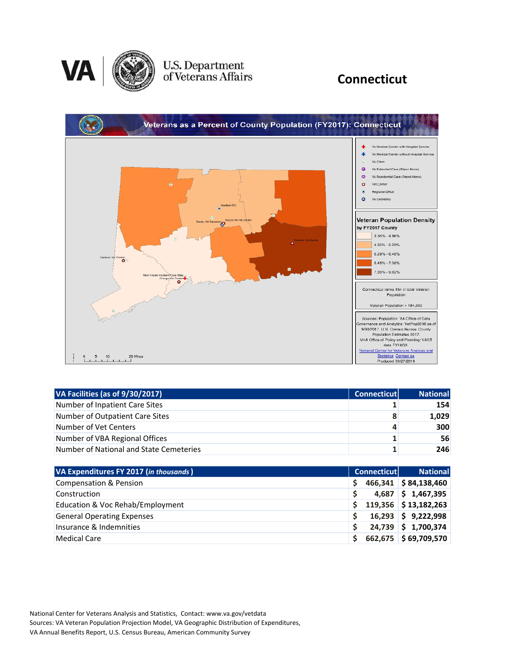

### U.S. Department<br>of Veterans Affairs

### **Connecticut**



| VA Facilities (as of 9/30/2017)         | <b>Connecticut</b> | <b>National</b> |
|-----------------------------------------|--------------------|-----------------|
| Number of Inpatient Care Sites          |                    | 154             |
| Number of Outpatient Care Sites         | 8                  | 1,029           |
| Number of Vet Centers                   | 4                  | 300             |
| Number of VBA Regional Offices          |                    | 56              |
| Number of National and State Cemeteries |                    | 246             |

| VA Expenditures FY 2017 (in thousands) |   | <b>Connecticut</b> | <b>National</b>        |
|----------------------------------------|---|--------------------|------------------------|
| <b>Compensation &amp; Pension</b>      | S |                    | $466,341$ \$84,138,460 |
| Construction                           |   |                    | $4,687$ \$ 1,467,395   |
| Education & Voc Rehab/Employment       |   |                    | $119,356$ \$13,182,263 |
| <b>General Operating Expenses</b>      |   |                    | $16,293$ \$ 9,222,998  |
| Insurance & Indemnities                |   |                    | 24,739 \$ 1,700,374    |
| <b>Medical Care</b>                    |   |                    | 662,675 \$69,709,570   |

National Center for Veterans Analysis and Statistics, Contact: www.va.gov/vetdata Sources: VA Veteran Population Projection Model, VA Geographic Distribution of Expenditures, VA Annual Benefits Report, U.S. Census Bureau, American Community Survey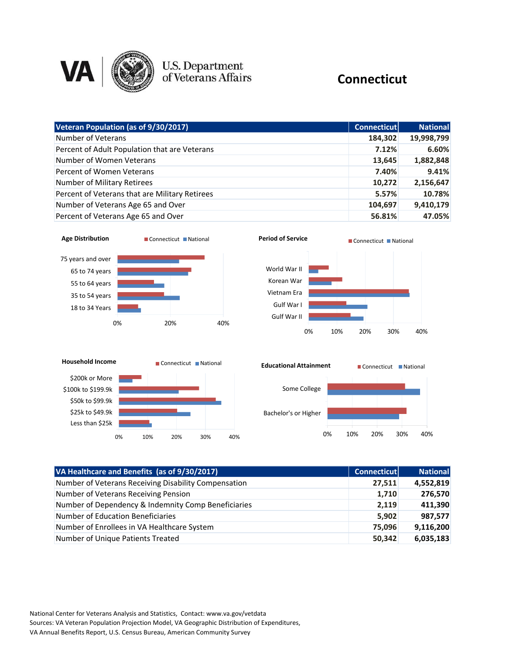

# U.S. Department<br>of Veterans Affairs

#### **Connecticut**

| Veteran Population (as of 9/30/2017)           | <b>Connecticut</b> | <b>National</b> |
|------------------------------------------------|--------------------|-----------------|
| Number of Veterans                             | 184,302            | 19,998,799      |
| Percent of Adult Population that are Veterans  | 7.12%              | 6.60%           |
| Number of Women Veterans                       | 13,645             | 1,882,848       |
| Percent of Women Veterans                      | 7.40%              | 9.41%           |
| Number of Military Retirees                    | 10,272             | 2,156,647       |
| Percent of Veterans that are Military Retirees | 5.57%              | 10.78%          |
| Number of Veterans Age 65 and Over             | 104,697            | 9,410,179       |
| Percent of Veterans Age 65 and Over            | 56.81%             | 47.05%          |









| VA Healthcare and Benefits (as of 9/30/2017)         | Connecticut | <b>National</b> |
|------------------------------------------------------|-------------|-----------------|
| Number of Veterans Receiving Disability Compensation | 27,511      | 4,552,819       |
| Number of Veterans Receiving Pension                 | 1,710       | 276,570         |
| Number of Dependency & Indemnity Comp Beneficiaries  | 2,119       | 411,390         |
| <b>Number of Education Beneficiaries</b>             | 5,902       | 987,577         |
| Number of Enrollees in VA Healthcare System          | 75,096      | 9,116,200       |
| Number of Unique Patients Treated                    | 50,342      | 6,035,183       |

National Center for Veterans Analysis and Statistics, Contact: www.va.gov/vetdata Sources: VA Veteran Population Projection Model, VA Geographic Distribution of Expenditures, VA Annual Benefits Report, U.S. Census Bureau, American Community Survey